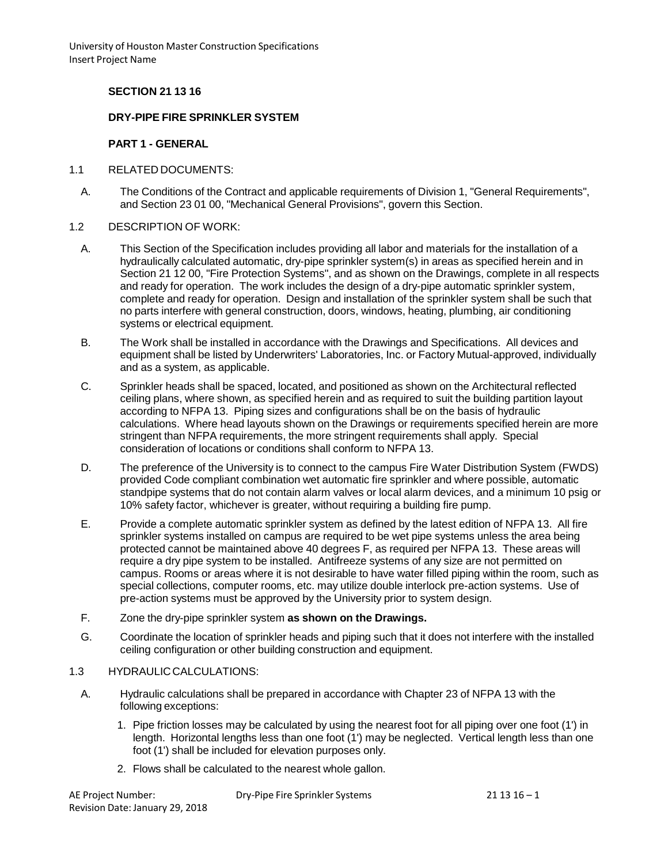## **SECTION 21 13 16**

### **DRY-PIPE FIRE SPRINKLER SYSTEM**

### **PART 1 - GENERAL**

- 1.1 RELATED DOCUMENTS:
	- A. The Conditions of the Contract and applicable requirements of Division 1, "General Requirements", and Section 23 01 00, "Mechanical General Provisions", govern this Section.
- 1.2 DESCRIPTION OF WORK:
	- A. This Section of the Specification includes providing all labor and materials for the installation of a hydraulically calculated automatic, dry-pipe sprinkler system(s) in areas as specified herein and in Section 21 12 00, "Fire Protection Systems", and as shown on the Drawings, complete in all respects and ready for operation. The work includes the design of a dry-pipe automatic sprinkler system, complete and ready for operation. Design and installation of the sprinkler system shall be such that no parts interfere with general construction, doors, windows, heating, plumbing, air conditioning systems or electrical equipment.
	- B. The Work shall be installed in accordance with the Drawings and Specifications. All devices and equipment shall be listed by Underwriters' Laboratories, Inc. or Factory Mutual-approved, individually and as a system, as applicable.
	- C. Sprinkler heads shall be spaced, located, and positioned as shown on the Architectural reflected ceiling plans, where shown, as specified herein and as required to suit the building partition layout according to NFPA 13. Piping sizes and configurations shall be on the basis of hydraulic calculations. Where head layouts shown on the Drawings or requirements specified herein are more stringent than NFPA requirements, the more stringent requirements shall apply. Special consideration of locations or conditions shall conform to NFPA 13.
	- D. The preference of the University is to connect to the campus Fire Water Distribution System (FWDS) provided Code compliant combination wet automatic fire sprinkler and where possible, automatic standpipe systems that do not contain alarm valves or local alarm devices, and a minimum 10 psig or 10% safety factor, whichever is greater, without requiring a building fire pump.
	- E. Provide a complete automatic sprinkler system as defined by the latest edition of NFPA 13. All fire sprinkler systems installed on campus are required to be wet pipe systems unless the area being protected cannot be maintained above 40 degrees F, as required per NFPA 13. These areas will require a dry pipe system to be installed. Antifreeze systems of any size are not permitted on campus. Rooms or areas where it is not desirable to have water filled piping within the room, such as special collections, computer rooms, etc. may utilize double interlock pre-action systems. Use of pre-action systems must be approved by the University prior to system design.
	- F. Zone the dry-pipe sprinkler system **as shown on the Drawings.**
	- G. Coordinate the location of sprinkler heads and piping such that it does not interfere with the installed ceiling configuration or other building construction and equipment.

#### 1.3 HYDRAULICCALCULATIONS:

- A. Hydraulic calculations shall be prepared in accordance with Chapter 23 of NFPA 13 with the following exceptions:
	- 1. Pipe friction losses may be calculated by using the nearest foot for all piping over one foot (1') in length. Horizontal lengths less than one foot (1') may be neglected. Vertical length less than one foot (1') shall be included for elevation purposes only.
	- 2. Flows shall be calculated to the nearest whole gallon.

| AE Project Number:              | Dry-Pipe Fire Sprinkler Systems | 21 13 16 – 1 |
|---------------------------------|---------------------------------|--------------|
| Revision Date: January 29, 2018 |                                 |              |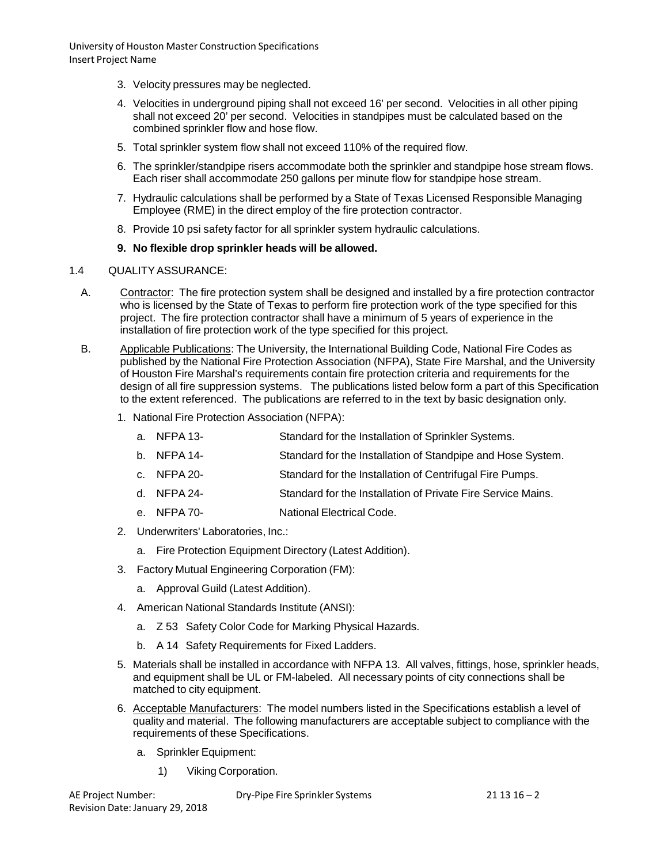- 3. Velocity pressures may be neglected.
- 4. Velocities in underground piping shall not exceed 16' per second. Velocities in all other piping shall not exceed 20' per second. Velocities in standpipes must be calculated based on the combined sprinkler flow and hose flow.
- 5. Total sprinkler system flow shall not exceed 110% of the required flow.
- 6. The sprinkler/standpipe risers accommodate both the sprinkler and standpipe hose stream flows. Each riser shall accommodate 250 gallons per minute flow for standpipe hose stream.
- 7. Hydraulic calculations shall be performed by a State of Texas Licensed Responsible Managing Employee (RME) in the direct employ of the fire protection contractor.
- 8. Provide 10 psi safety factor for all sprinkler system hydraulic calculations.

## **9. No flexible drop sprinkler heads will be allowed.**

## 1.4 QUALITYASSURANCE:

- A. Contractor: The fire protection system shall be designed and installed by a fire protection contractor who is licensed by the State of Texas to perform fire protection work of the type specified for this project. The fire protection contractor shall have a minimum of 5 years of experience in the installation of fire protection work of the type specified for this project.
- B. Applicable Publications: The University, the International Building Code, National Fire Codes as published by the National Fire Protection Association (NFPA), State Fire Marshal, and the University of Houston Fire Marshal's requirements contain fire protection criteria and requirements for the design of all fire suppression systems. The publications listed below form a part of this Specification to the extent referenced. The publications are referred to in the text by basic designation only.
	- 1. National Fire Protection Association (NFPA):
		- a. NFPA 13- Standard for the Installation of Sprinkler Systems.
		- b. NFPA 14- Standard for the Installation of Standpipe and Hose System.
		- c. NFPA 20- Standard for the Installation of Centrifugal Fire Pumps.
		- d. NFPA 24- Standard for the Installation of Private Fire Service Mains.
		- e. NFPA 70- National Electrical Code.
	- 2. Underwriters' Laboratories, Inc.:
		- a. Fire Protection Equipment Directory (Latest Addition).
	- 3. Factory Mutual Engineering Corporation (FM):
		- a. Approval Guild (Latest Addition).
	- 4. American National Standards Institute (ANSI):
		- a. Z 53 Safety Color Code for Marking Physical Hazards.
		- b. A 14 Safety Requirements for Fixed Ladders.
	- 5. Materials shall be installed in accordance with NFPA 13. All valves, fittings, hose, sprinkler heads, and equipment shall be UL or FM-labeled. All necessary points of city connections shall be matched to city equipment.
	- 6. Acceptable Manufacturers: The model numbers listed in the Specifications establish a level of quality and material. The following manufacturers are acceptable subject to compliance with the requirements of these Specifications.
		- a. Sprinkler Equipment:
			- 1) Viking Corporation.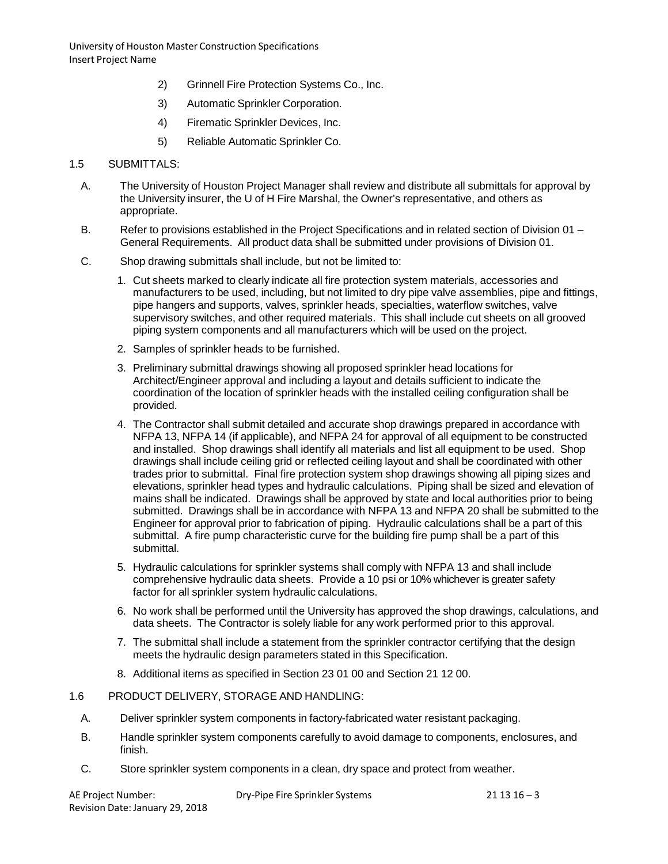- 2) Grinnell Fire Protection Systems Co., Inc.
- 3) Automatic Sprinkler Corporation.
- 4) Firematic Sprinkler Devices, Inc.
- 5) Reliable Automatic Sprinkler Co.

#### 1.5 SUBMITTALS:

- A. The University of Houston Project Manager shall review and distribute all submittals for approval by the University insurer, the U of H Fire Marshal, the Owner's representative, and others as appropriate.
- B. Refer to provisions established in the Project Specifications and in related section of Division 01 General Requirements. All product data shall be submitted under provisions of Division 01.
- C. Shop drawing submittals shall include, but not be limited to:
	- 1. Cut sheets marked to clearly indicate all fire protection system materials, accessories and manufacturers to be used, including, but not limited to dry pipe valve assemblies, pipe and fittings, pipe hangers and supports, valves, sprinkler heads, specialties, waterflow switches, valve supervisory switches, and other required materials. This shall include cut sheets on all grooved piping system components and all manufacturers which will be used on the project.
	- 2. Samples of sprinkler heads to be furnished.
	- 3. Preliminary submittal drawings showing all proposed sprinkler head locations for Architect/Engineer approval and including a layout and details sufficient to indicate the coordination of the location of sprinkler heads with the installed ceiling configuration shall be provided.
	- 4. The Contractor shall submit detailed and accurate shop drawings prepared in accordance with NFPA 13, NFPA 14 (if applicable), and NFPA 24 for approval of all equipment to be constructed and installed. Shop drawings shall identify all materials and list all equipment to be used. Shop drawings shall include ceiling grid or reflected ceiling layout and shall be coordinated with other trades prior to submittal. Final fire protection system shop drawings showing all piping sizes and elevations, sprinkler head types and hydraulic calculations. Piping shall be sized and elevation of mains shall be indicated. Drawings shall be approved by state and local authorities prior to being submitted. Drawings shall be in accordance with NFPA 13 and NFPA 20 shall be submitted to the Engineer for approval prior to fabrication of piping. Hydraulic calculations shall be a part of this submittal. A fire pump characteristic curve for the building fire pump shall be a part of this submittal.
	- 5. Hydraulic calculations for sprinkler systems shall comply with NFPA 13 and shall include comprehensive hydraulic data sheets. Provide a 10 psi or 10% whichever is greater safety factor for all sprinkler system hydraulic calculations.
	- 6. No work shall be performed until the University has approved the shop drawings, calculations, and data sheets. The Contractor is solely liable for any work performed prior to this approval.
	- 7. The submittal shall include a statement from the sprinkler contractor certifying that the design meets the hydraulic design parameters stated in this Specification.
	- 8. Additional items as specified in Section 23 01 00 and Section 21 12 00.

#### 1.6 PRODUCT DELIVERY, STORAGE AND HANDLING:

- A. Deliver sprinkler system components in factory-fabricated water resistant packaging.
- B. Handle sprinkler system components carefully to avoid damage to components, enclosures, and finish.
- C. Store sprinkler system components in a clean, dry space and protect from weather.

| AE Project Number:              |  |
|---------------------------------|--|
| Revision Date: January 29, 2018 |  |

Dry-Pipe Fire Sprinkler Systems 21 13 16 – 3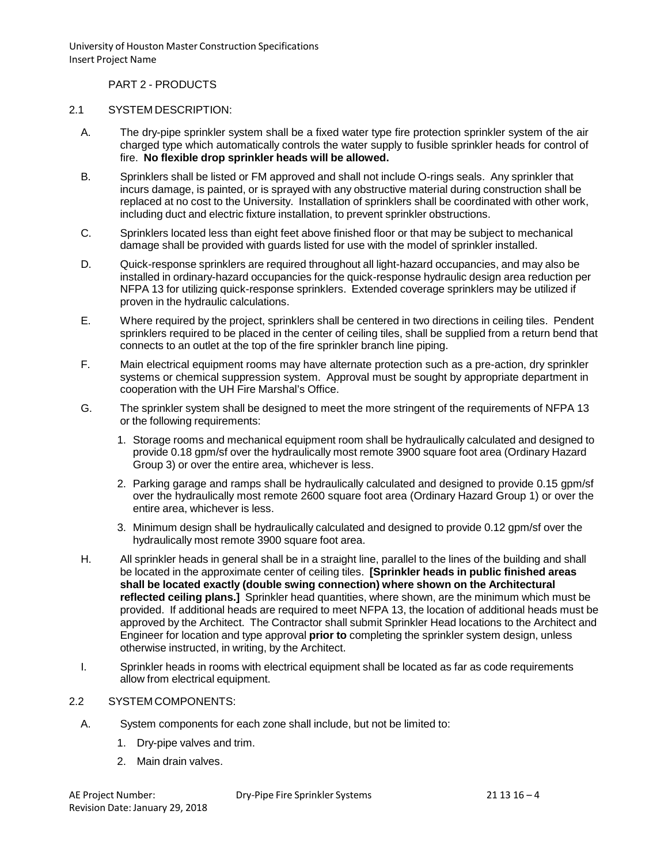PART 2 - PRODUCTS

### 2.1 SYSTEM DESCRIPTION:

- A. The dry-pipe sprinkler system shall be a fixed water type fire protection sprinkler system of the air charged type which automatically controls the water supply to fusible sprinkler heads for control of fire. **No flexible drop sprinkler heads will be allowed.**
- B. Sprinklers shall be listed or FM approved and shall not include O-rings seals. Any sprinkler that incurs damage, is painted, or is sprayed with any obstructive material during construction shall be replaced at no cost to the University. Installation of sprinklers shall be coordinated with other work, including duct and electric fixture installation, to prevent sprinkler obstructions.
- C. Sprinklers located less than eight feet above finished floor or that may be subject to mechanical damage shall be provided with guards listed for use with the model of sprinkler installed.
- D. Quick-response sprinklers are required throughout all light-hazard occupancies, and may also be installed in ordinary-hazard occupancies for the quick-response hydraulic design area reduction per NFPA 13 for utilizing quick-response sprinklers. Extended coverage sprinklers may be utilized if proven in the hydraulic calculations.
- E. Where required by the project, sprinklers shall be centered in two directions in ceiling tiles. Pendent sprinklers required to be placed in the center of ceiling tiles, shall be supplied from a return bend that connects to an outlet at the top of the fire sprinkler branch line piping.
- F. Main electrical equipment rooms may have alternate protection such as a pre-action, dry sprinkler systems or chemical suppression system. Approval must be sought by appropriate department in cooperation with the UH Fire Marshal's Office.
- G. The sprinkler system shall be designed to meet the more stringent of the requirements of NFPA 13 or the following requirements:
	- 1. Storage rooms and mechanical equipment room shall be hydraulically calculated and designed to provide 0.18 gpm/sf over the hydraulically most remote 3900 square foot area (Ordinary Hazard Group 3) or over the entire area, whichever is less.
	- 2. Parking garage and ramps shall be hydraulically calculated and designed to provide 0.15 gpm/sf over the hydraulically most remote 2600 square foot area (Ordinary Hazard Group 1) or over the entire area, whichever is less.
	- 3. Minimum design shall be hydraulically calculated and designed to provide 0.12 gpm/sf over the hydraulically most remote 3900 square foot area.
- H. All sprinkler heads in general shall be in a straight line, parallel to the lines of the building and shall be located in the approximate center of ceiling tiles. **[Sprinkler heads in public finished areas shall be located exactly (double swing connection) where shown on the Architectural reflected ceiling plans.]** Sprinkler head quantities, where shown, are the minimum which must be provided. If additional heads are required to meet NFPA 13, the location of additional heads must be approved by the Architect. The Contractor shall submit Sprinkler Head locations to the Architect and Engineer for location and type approval **prior to** completing the sprinkler system design, unless otherwise instructed, in writing, by the Architect.
- I. Sprinkler heads in rooms with electrical equipment shall be located as far as code requirements allow from electrical equipment.

# 2.2 SYSTEM COMPONENTS:

- A. System components for each zone shall include, but not be limited to:
	- 1. Dry-pipe valves and trim.
	- 2. Main drain valves.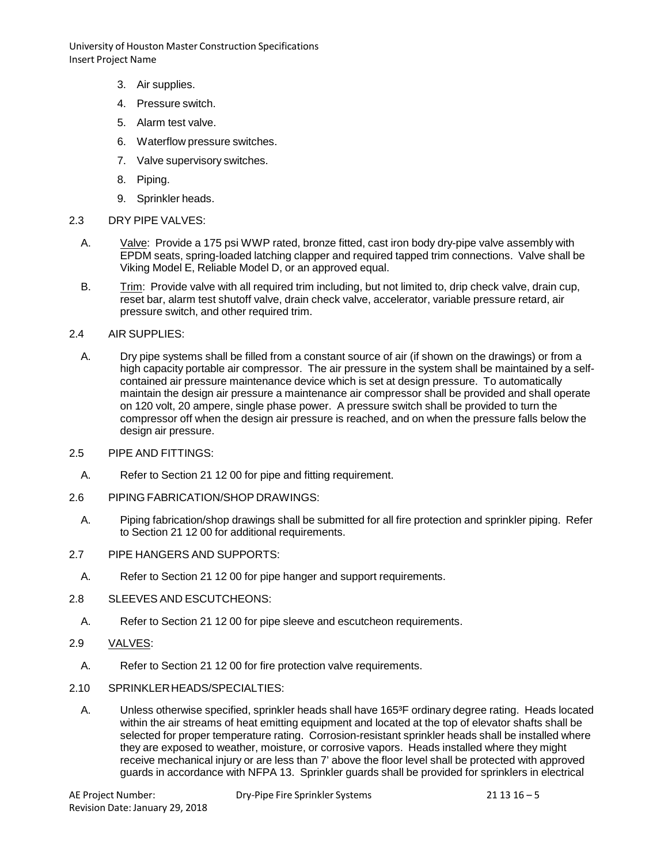- 3. Air supplies.
- 4. Pressure switch.
- 5. Alarm test valve.
- 6. Waterflow pressure switches.
- 7. Valve supervisory switches.
- 8. Piping.
- 9. Sprinkler heads.
- 2.3 DRY PIPE VALVES:
	- A. Valve: Provide a 175 psi WWP rated, bronze fitted, cast iron body dry-pipe valve assembly with EPDM seats, spring-loaded latching clapper and required tapped trim connections. Valve shall be Viking Model E, Reliable Model D, or an approved equal.
	- B. Trim: Provide valve with all required trim including, but not limited to, drip check valve, drain cup, reset bar, alarm test shutoff valve, drain check valve, accelerator, variable pressure retard, air pressure switch, and other required trim.
- 2.4 AIR SUPPLIES:
	- A. Dry pipe systems shall be filled from a constant source of air (if shown on the drawings) or from a high capacity portable air compressor. The air pressure in the system shall be maintained by a selfcontained air pressure maintenance device which is set at design pressure. To automatically maintain the design air pressure a maintenance air compressor shall be provided and shall operate on 120 volt, 20 ampere, single phase power. A pressure switch shall be provided to turn the compressor off when the design air pressure is reached, and on when the pressure falls below the design air pressure.
- 2.5 PIPE AND FITTINGS:
	- A. Refer to Section 21 12 00 for pipe and fitting requirement.
- 2.6 PIPING FABRICATION/SHOP DRAWINGS:
- A. Piping fabrication/shop drawings shall be submitted for all fire protection and sprinkler piping. Refer to Section 21 12 00 for additional requirements.
- 2.7 PIPE HANGERS AND SUPPORTS:
	- A. Refer to Section 21 12 00 for pipe hanger and support requirements.
- 2.8 SLEEVES AND ESCUTCHEONS:
	- A. Refer to Section 21 12 00 for pipe sleeve and escutcheon requirements.
- 2.9 VALVES:
	- A. Refer to Section 21 12 00 for fire protection valve requirements.
- 2.10 SPRINKLERHEADS/SPECIALTIES:
	- A. Unless otherwise specified, sprinkler heads shall have 165<sup>3</sup>F ordinary degree rating. Heads located within the air streams of heat emitting equipment and located at the top of elevator shafts shall be selected for proper temperature rating. Corrosion-resistant sprinkler heads shall be installed where they are exposed to weather, moisture, or corrosive vapors. Heads installed where they might receive mechanical injury or are less than 7' above the floor level shall be protected with approved guards in accordance with NFPA 13. Sprinkler guards shall be provided for sprinklers in electrical

Dry-Pipe Fire Sprinkler Systems 21 13 16 – 5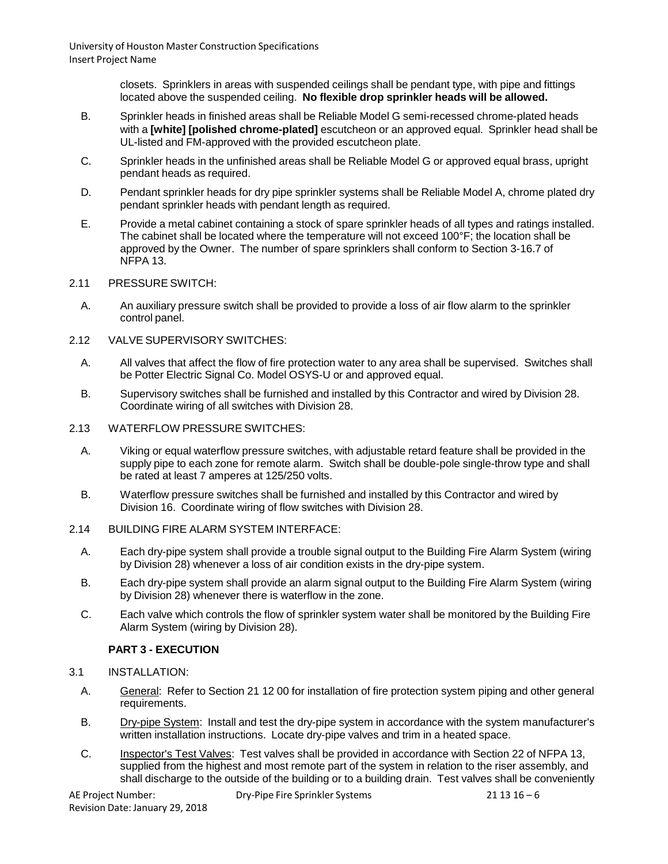> closets. Sprinklers in areas with suspended ceilings shall be pendant type, with pipe and fittings located above the suspended ceiling. **No flexible drop sprinkler heads will be allowed.**

- B. Sprinkler heads in finished areas shall be Reliable Model G semi-recessed chrome-plated heads with a **[white] [polished chrome-plated]** escutcheon or an approved equal. Sprinkler head shall be UL-listed and FM-approved with the provided escutcheon plate.
- C. Sprinkler heads in the unfinished areas shall be Reliable Model G or approved equal brass, upright pendant heads as required.
- D. Pendant sprinkler heads for dry pipe sprinkler systems shall be Reliable Model A, chrome plated dry pendant sprinkler heads with pendant length as required.
- E. Provide a metal cabinet containing a stock of spare sprinkler heads of all types and ratings installed. The cabinet shall be located where the temperature will not exceed 100°F; the location shall be approved by the Owner. The number of spare sprinklers shall conform to Section 3-16.7 of NFPA 13.
- 2.11 PRESSURESWITCH:
	- A. An auxiliary pressure switch shall be provided to provide a loss of air flow alarm to the sprinkler control panel.
- 2.12 VALVE SUPERVISORY SWITCHES:
	- A. All valves that affect the flow of fire protection water to any area shall be supervised. Switches shall be Potter Electric Signal Co. Model OSYS-U or and approved equal.
	- B. Supervisory switches shall be furnished and installed by this Contractor and wired by Division 28. Coordinate wiring of all switches with Division 28.
- 2.13 WATERFLOW PRESSURE SWITCHES:
	- A. Viking or equal waterflow pressure switches, with adjustable retard feature shall be provided in the supply pipe to each zone for remote alarm. Switch shall be double-pole single-throw type and shall be rated at least 7 amperes at 125/250 volts.
	- B. Waterflow pressure switches shall be furnished and installed by this Contractor and wired by Division 16. Coordinate wiring of flow switches with Division 28.
- 2.14 BUILDING FIRE ALARM SYSTEM INTERFACE:
	- A. Each dry-pipe system shall provide a trouble signal output to the Building Fire Alarm System (wiring by Division 28) whenever a loss of air condition exists in the dry-pipe system.
	- B. Each dry-pipe system shall provide an alarm signal output to the Building Fire Alarm System (wiring by Division 28) whenever there is waterflow in the zone.
	- C. Each valve which controls the flow of sprinkler system water shall be monitored by the Building Fire Alarm System (wiring by Division 28).

# **PART 3 - EXECUTION**

- 3.1 INSTALLATION:
	- A. General: Refer to Section 21 12 00 for installation of fire protection system piping and other general requirements.
	- B. Dry-pipe System: Install and test the dry-pipe system in accordance with the system manufacturer's written installation instructions. Locate dry-pipe valves and trim in a heated space.
	- C. Inspector's Test Valves: Test valves shall be provided in accordance with Section 22 of NFPA 13, supplied from the highest and most remote part of the system in relation to the riser assembly, and shall discharge to the outside of the building or to a building drain. Test valves shall be conveniently